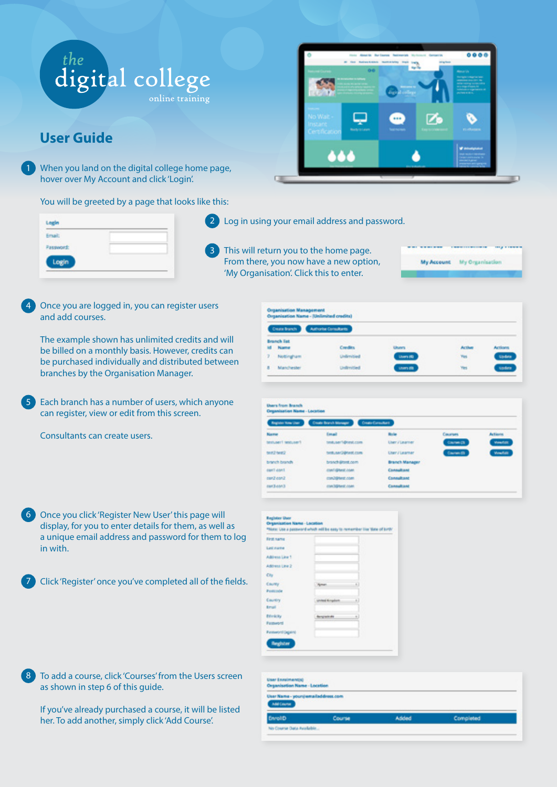



## **User Guide**

When you land on the digital college home page, hover over My Account and click 'Login'.

You will be greeted by a page that looks like this:

| ogin. |  |
|-------|--|

2 Log in using your email address and password.

3 This will return you to the home page. From there, you now have a new option, 'My Organisation'. Click this to enter.

My Account My Organisatio

Once you are logged in, you can register users and add courses.  $\Delta$ 

The example shown has unlimited credits and will be billed on a monthly basis. However, credits can be purchased individually and distributed between branches by the Organisation Manager.

Each branch has a number of users, which anyone can register, view or edit from this screen.  $\left(5\right)$ 

Consultants can create users.

| 6 Once you click 'Register New User' this page will    |
|--------------------------------------------------------|
| display, for you to enter details for them, as well as |
| a unique email address and password for them to log    |
| in with.                                               |

7 Click 'Register' once you've completed all of the fields.



If you've already purchased a course, it will be listed her. To add another, simply click 'Add Course'.





| List name                                         |     |
|---------------------------------------------------|-----|
| Address Line 1                                    |     |
| Address Line 2                                    |     |
| City                                              |     |
| County<br><b>Novel</b>                            | Đ   |
| Postenda                                          |     |
| Country<br><b>United Kingdom</b>                  | t.) |
| <b>Email</b>                                      |     |
| Ethnicity<br><b>Banglacks</b><br><b>Fallencia</b> |     |

| User Enrolment(s)<br><b>Organisation Name - Location</b> |        |       |           |  |
|----------------------------------------------------------|--------|-------|-----------|--|
| User Name - your (remailed dress.com)<br><b>AMEGASK</b>  |        |       |           |  |
| EnrollD                                                  | Course | Added | Completed |  |
| No Course Data Available                                 |        |       |           |  |